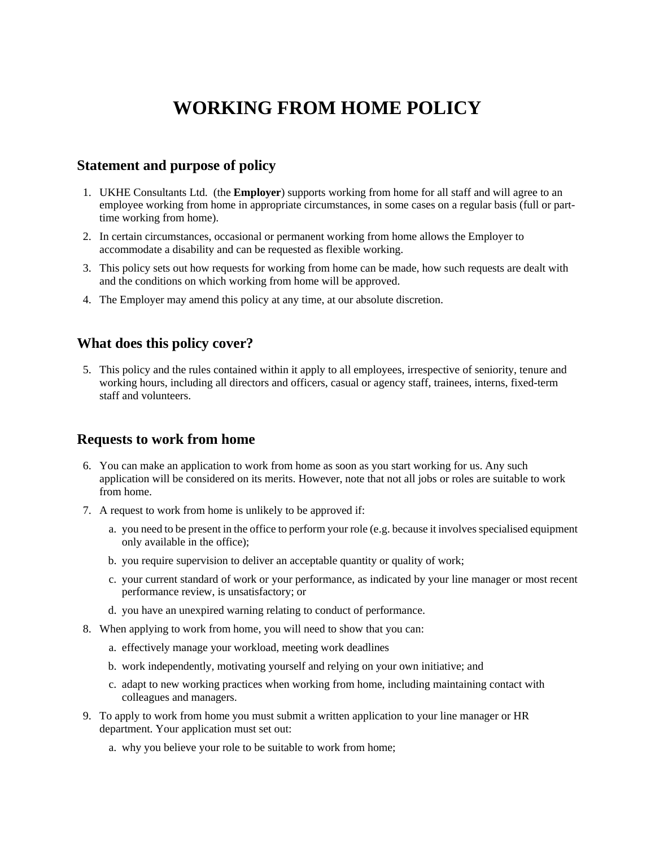# **WORKING FROM HOME POLICY**

#### **Statement and purpose of policy**

- 1. UKHE Consultants Ltd. (the **Employer**) supports working from home for all staff and will agree to an employee working from home in appropriate circumstances, in some cases on a regular basis (full or parttime working from home).
- 2. In certain circumstances, occasional or permanent working from home allows the Employer to accommodate a disability and can be requested as flexible working.
- 3. This policy sets out how requests for working from home can be made, how such requests are dealt with and the conditions on which working from home will be approved.
- 4. The Employer may amend this policy at any time, at our absolute discretion.

## **What does this policy cover?**

5. This policy and the rules contained within it apply to all employees, irrespective of seniority, tenure and working hours, including all directors and officers, casual or agency staff, trainees, interns, fixed-term staff and volunteers.

#### **Requests to work from home**

- 6. You can make an application to work from home as soon as you start working for us. Any such application will be considered on its merits. However, note that not all jobs or roles are suitable to work from home.
- 7. A request to work from home is unlikely to be approved if:
	- a. you need to be present in the office to perform your role (e.g. because it involves specialised equipment only available in the office);
	- b. you require supervision to deliver an acceptable quantity or quality of work;
	- c. your current standard of work or your performance, as indicated by your line manager or most recent performance review, is unsatisfactory; or
	- d. you have an unexpired warning relating to conduct of performance.
- 8. When applying to work from home, you will need to show that you can:
	- a. effectively manage your workload, meeting work deadlines
	- b. work independently, motivating yourself and relying on your own initiative; and
	- c. adapt to new working practices when working from home, including maintaining contact with colleagues and managers.
- 9. To apply to work from home you must submit a written application to your line manager or HR department. Your application must set out:
	- a. why you believe your role to be suitable to work from home;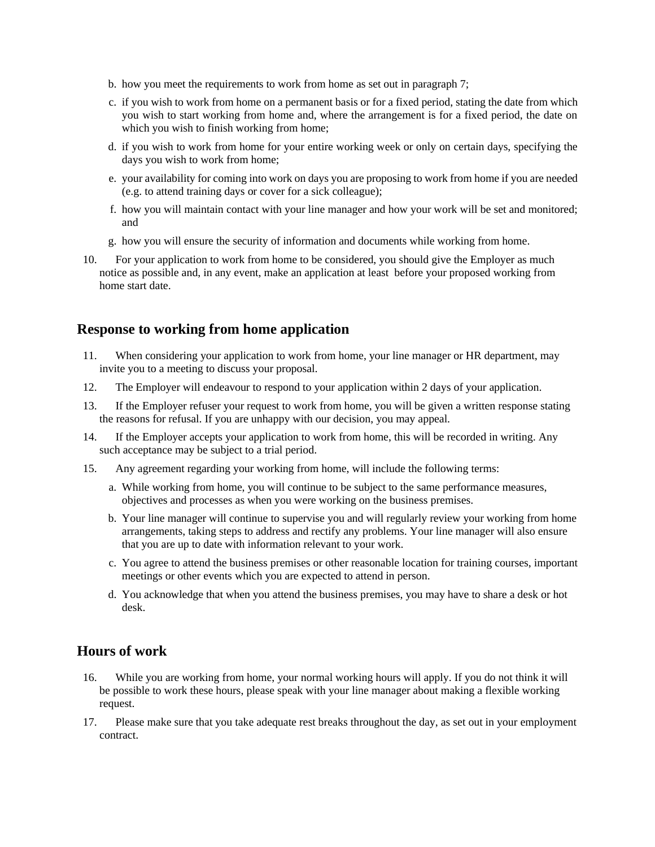- b. how you meet the requirements to work from home as set out in paragraph 7;
- c. if you wish to work from home on a permanent basis or for a fixed period, stating the date from which you wish to start working from home and, where the arrangement is for a fixed period, the date on which you wish to finish working from home;
- d. if you wish to work from home for your entire working week or only on certain days, specifying the days you wish to work from home;
- e. your availability for coming into work on days you are proposing to work from home if you are needed (e.g. to attend training days or cover for a sick colleague);
- f. how you will maintain contact with your line manager and how your work will be set and monitored; and
- g. how you will ensure the security of information and documents while working from home.
- 10. For your application to work from home to be considered, you should give the Employer as much notice as possible and, in any event, make an application at least before your proposed working from home start date.

## **Response to working from home application**

- 11. When considering your application to work from home, your line manager or HR department, may invite you to a meeting to discuss your proposal.
- 12. The Employer will endeavour to respond to your application within 2 days of your application.
- 13. If the Employer refuser your request to work from home, you will be given a written response stating the reasons for refusal. If you are unhappy with our decision, you may appeal.
- 14. If the Employer accepts your application to work from home, this will be recorded in writing. Any such acceptance may be subject to a trial period.
- 15. Any agreement regarding your working from home, will include the following terms:
	- a. While working from home, you will continue to be subject to the same performance measures, objectives and processes as when you were working on the business premises.
	- b. Your line manager will continue to supervise you and will regularly review your working from home arrangements, taking steps to address and rectify any problems. Your line manager will also ensure that you are up to date with information relevant to your work.
	- c. You agree to attend the business premises or other reasonable location for training courses, important meetings or other events which you are expected to attend in person.
	- d. You acknowledge that when you attend the business premises, you may have to share a desk or hot desk.

## **Hours of work**

- 16. While you are working from home, your normal working hours will apply. If you do not think it will be possible to work these hours, please speak with your line manager about making a flexible working request.
- 17. Please make sure that you take adequate rest breaks throughout the day, as set out in your employment contract.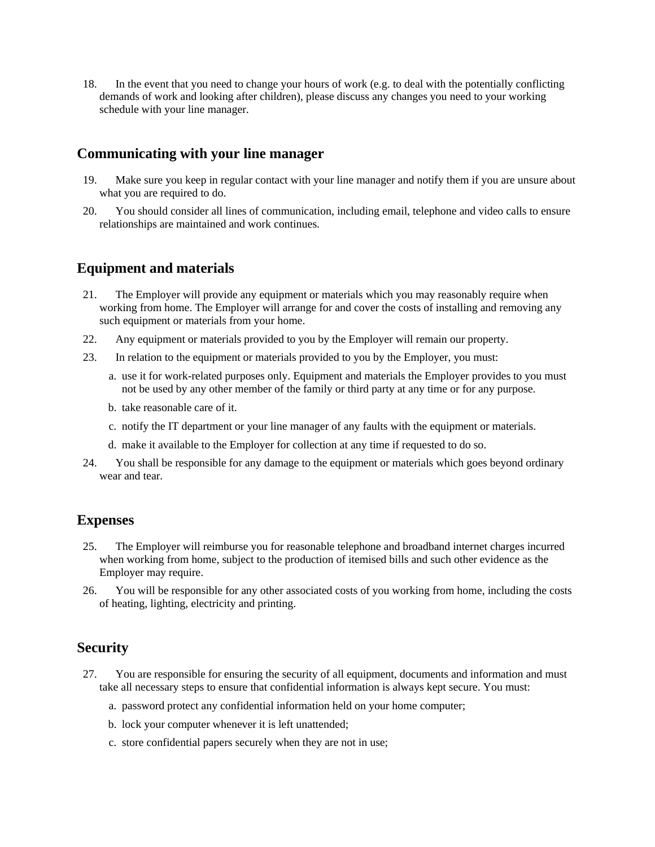18. In the event that you need to change your hours of work (e.g. to deal with the potentially conflicting demands of work and looking after children), please discuss any changes you need to your working schedule with your line manager.

## **Communicating with your line manager**

- 19. Make sure you keep in regular contact with your line manager and notify them if you are unsure about what you are required to do.
- 20. You should consider all lines of communication, including email, telephone and video calls to ensure relationships are maintained and work continues.

## **Equipment and materials**

- 21. The Employer will provide any equipment or materials which you may reasonably require when working from home. The Employer will arrange for and cover the costs of installing and removing any such equipment or materials from your home.
- 22. Any equipment or materials provided to you by the Employer will remain our property.
- 23. In relation to the equipment or materials provided to you by the Employer, you must:
	- a. use it for work-related purposes only. Equipment and materials the Employer provides to you must not be used by any other member of the family or third party at any time or for any purpose.
	- b. take reasonable care of it.
	- c. notify the IT department or your line manager of any faults with the equipment or materials.
	- d. make it available to the Employer for collection at any time if requested to do so.
- 24. You shall be responsible for any damage to the equipment or materials which goes beyond ordinary wear and tear.

## **Expenses**

- 25. The Employer will reimburse you for reasonable telephone and broadband internet charges incurred when working from home, subject to the production of itemised bills and such other evidence as the Employer may require.
- 26. You will be responsible for any other associated costs of you working from home, including the costs of heating, lighting, electricity and printing.

## **Security**

- 27. You are responsible for ensuring the security of all equipment, documents and information and must take all necessary steps to ensure that confidential information is always kept secure. You must:
	- a. password protect any confidential information held on your home computer;
	- b. lock your computer whenever it is left unattended;
	- c. store confidential papers securely when they are not in use;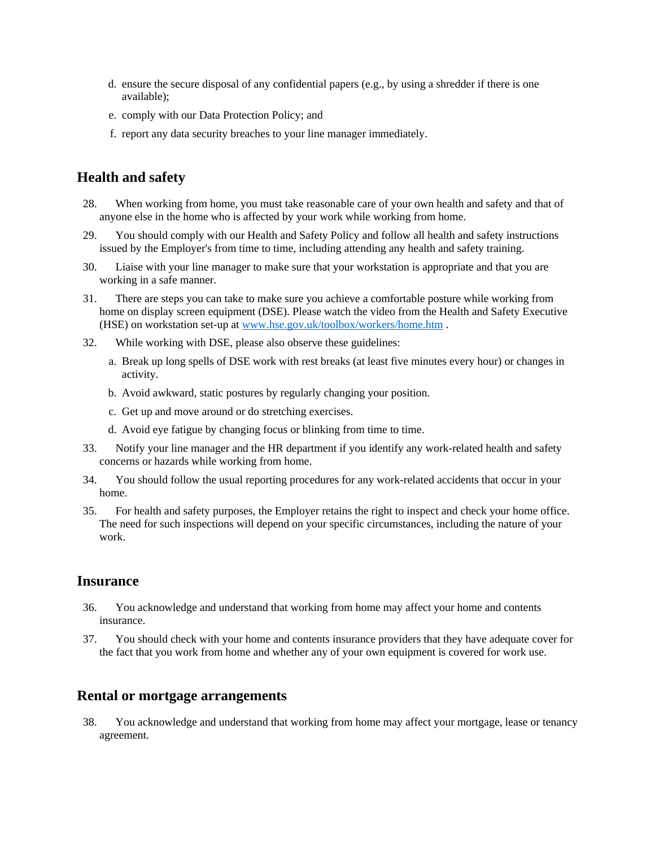- d. ensure the secure disposal of any confidential papers (e.g., by using a shredder if there is one available);
- e. comply with our Data Protection Policy; and
- f. report any data security breaches to your line manager immediately.

# **Health and safety**

- 28. When working from home, you must take reasonable care of your own health and safety and that of anyone else in the home who is affected by your work while working from home.
- 29. You should comply with our Health and Safety Policy and follow all health and safety instructions issued by the Employer's from time to time, including attending any health and safety training.
- 30. Liaise with your line manager to make sure that your workstation is appropriate and that you are working in a safe manner.
- 31. There are steps you can take to make sure you achieve a comfortable posture while working from home on display screen equipment (DSE). Please watch the video from the Health and Safety Executive (HSE) on workstation set-up at [www.hse.gov.uk/toolbox/workers/home.htm](http://www.hse.gov.uk/toolbox/workers/home.htm) .
- 32. While working with DSE, please also observe these guidelines:
	- a. Break up long spells of DSE work with rest breaks (at least five minutes every hour) or changes in activity.
	- b. Avoid awkward, static postures by regularly changing your position.
	- c. Get up and move around or do stretching exercises.
	- d. Avoid eye fatigue by changing focus or blinking from time to time.
- 33. Notify your line manager and the HR department if you identify any work-related health and safety concerns or hazards while working from home.
- 34. You should follow the usual reporting procedures for any work-related accidents that occur in your home.
- 35. For health and safety purposes, the Employer retains the right to inspect and check your home office. The need for such inspections will depend on your specific circumstances, including the nature of your work.

#### **Insurance**

- 36. You acknowledge and understand that working from home may affect your home and contents insurance.
- 37. You should check with your home and contents insurance providers that they have adequate cover for the fact that you work from home and whether any of your own equipment is covered for work use.

#### **Rental or mortgage arrangements**

38. You acknowledge and understand that working from home may affect your mortgage, lease or tenancy agreement.